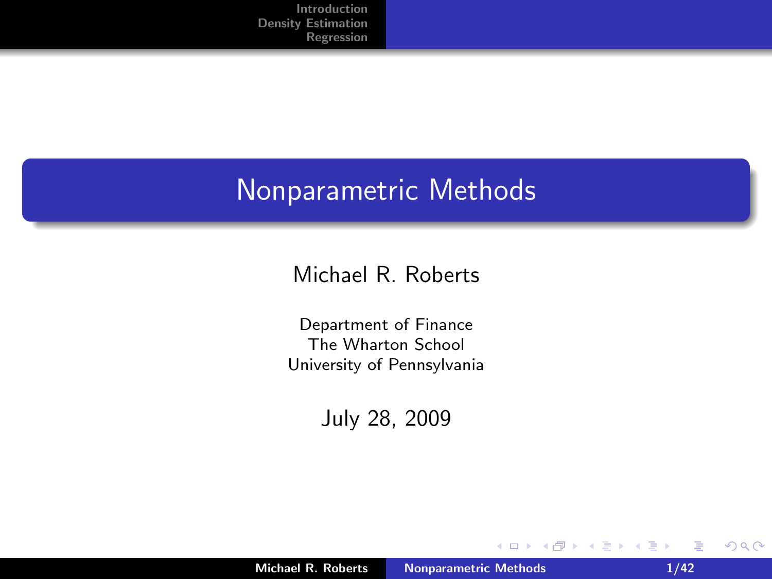#### Nonparametric Methods

#### Michael R. Roberts

Department of Finance The Wharton School University of Pennsylvania

July 28, 2009

 $\leftarrow$   $\Box$ 

 $\leftarrow$   $\oplus$   $\rightarrow$ 

€ **In**  <span id="page-0-0"></span>E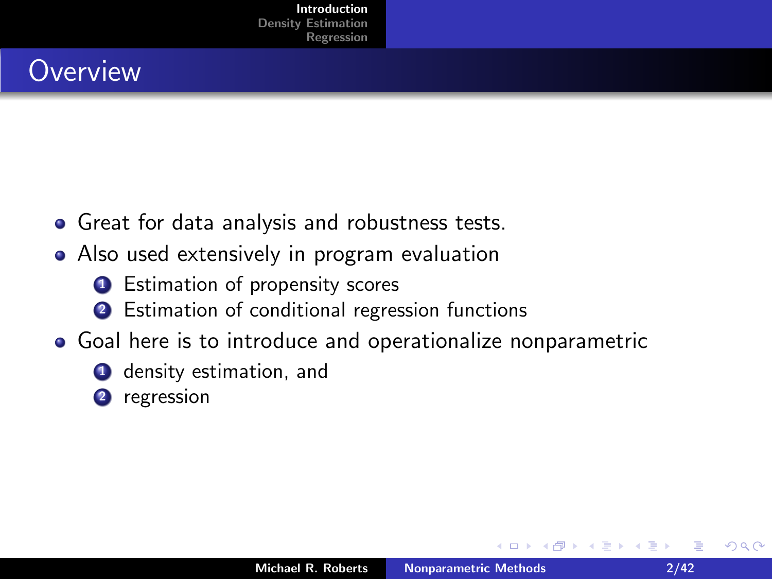## **Overview**

- Great for data analysis and robustness tests.
- Also used extensively in program evaluation
	- **1** Estimation of propensity scores
	- 2 Estimation of conditional regression functions
- Goal here is to introduce and operationalize nonparametric
	- **4** density estimation, and
	- 2 regression

<span id="page-1-0"></span> $4.17 \times$  $\leftarrow$   $\leftarrow$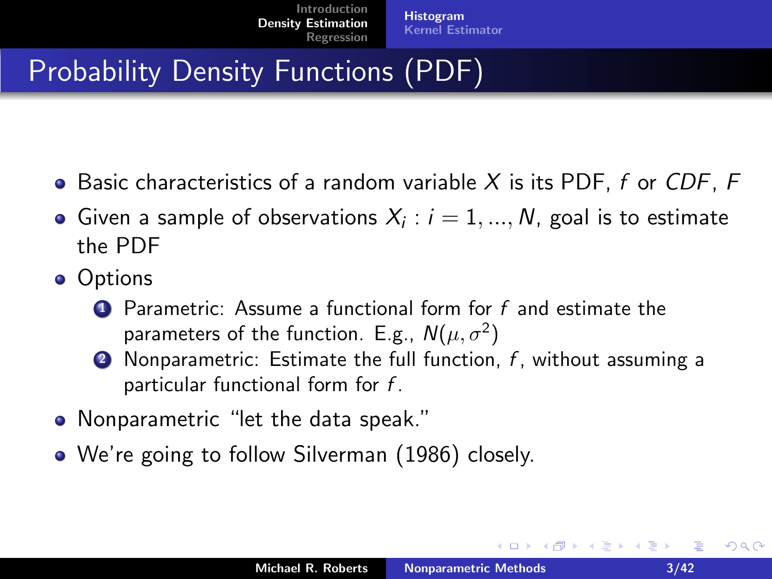## Probability Density Functions (PDF)

- $\bullet$  Basic characteristics of a random variable X is its PDF, f or CDF, F
- Given a sample of observations  $X_i:i=1,...,N$ , goal is to estimate the PDF
- Options
	- $\bullet$  Parametric: Assume a functional form for f and estimate the parameters of the function. E.g.,  $N(\mu, \sigma^2)$
	- **2** Nonparametric: Estimate the full function,  $f$ , without assuming a particular functional form for  $f$ .
- Nonparametric "let the data speak."
- We're going to follow Silverman (1986) closely.

 $\leftarrow$   $\cap$   $\rightarrow$   $\leftarrow$   $\cap$   $\rightarrow$ 

<span id="page-2-0"></span>→ 唐 トー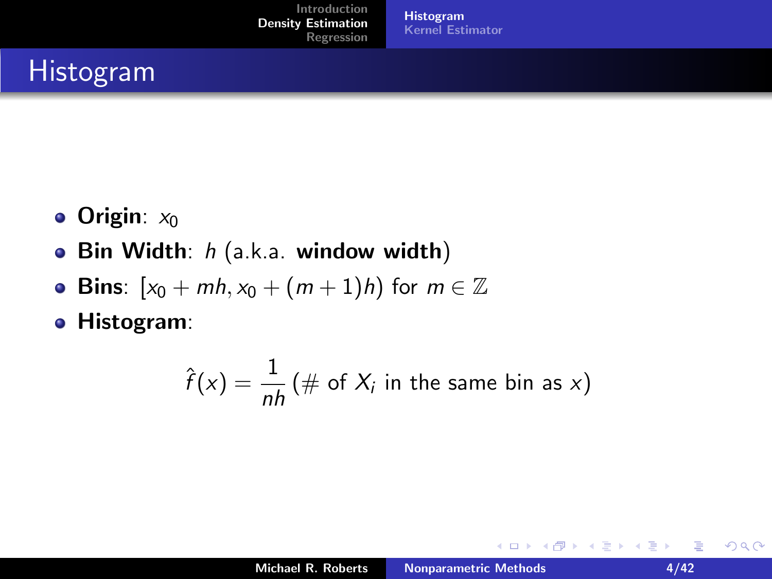[Histogram](#page-2-0) [Kernel Estimator](#page-10-0)

#### Histogram

- Origin:  $x_0$
- Bin Width: h (a.k.a. window width)  $\bullet$
- **Bins**:  $[x_0 + mh, x_0 + (m+1)h)$  for  $m \in \mathbb{Z}$  $\bullet$
- Histogram:

$$
\hat{f}(x) = \frac{1}{nh} (\# \text{ of } X_i \text{ in the same bin as } x)
$$

重

 $2Q$ 

∢ 重→

 $\sim$ 

**K ロ ト K 伊 ト K ミ**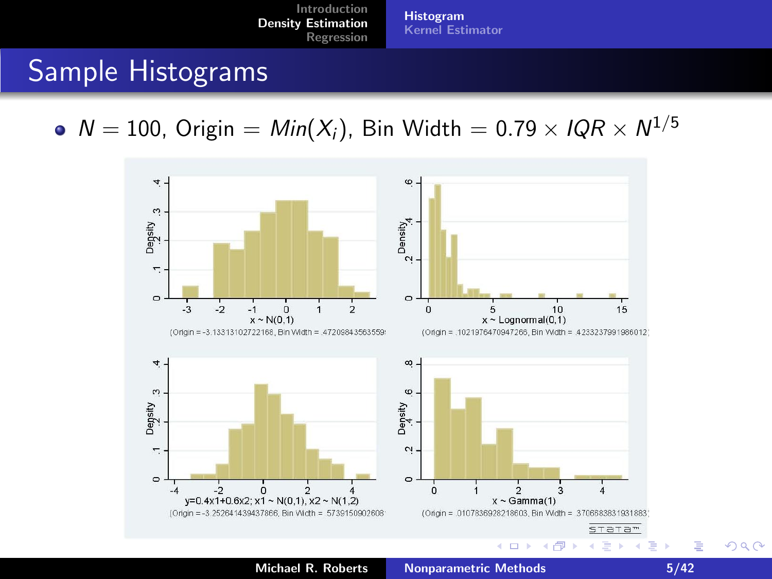[Histogram](#page-2-0) [Kernel Estimator](#page-10-0)

#### Sample Histograms

 $N = 100$ , Origin =  $Min(X_i)$ , Bin Width = 0.79  $\times$  IQR  $\times$   $N^{1/5}$ 



Michael R. Roberts [Nonparametric Methods 5/42](#page-0-0)

重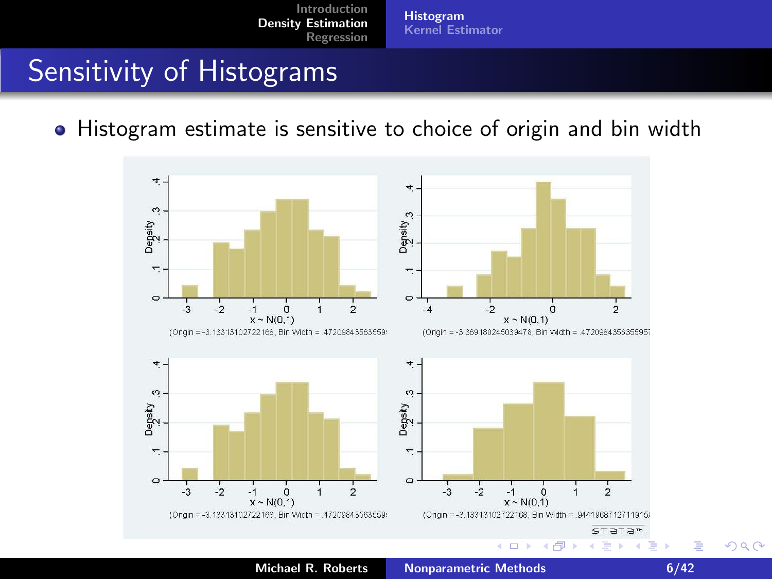[Histogram](#page-2-0) [Kernel Estimator](#page-10-0)

#### Sensitivity of Histograms

Histogram estimate is sensitive to choice of origin and bin width



Michael R. Roberts [Nonparametric Methods 6/42](#page-0-0)

扂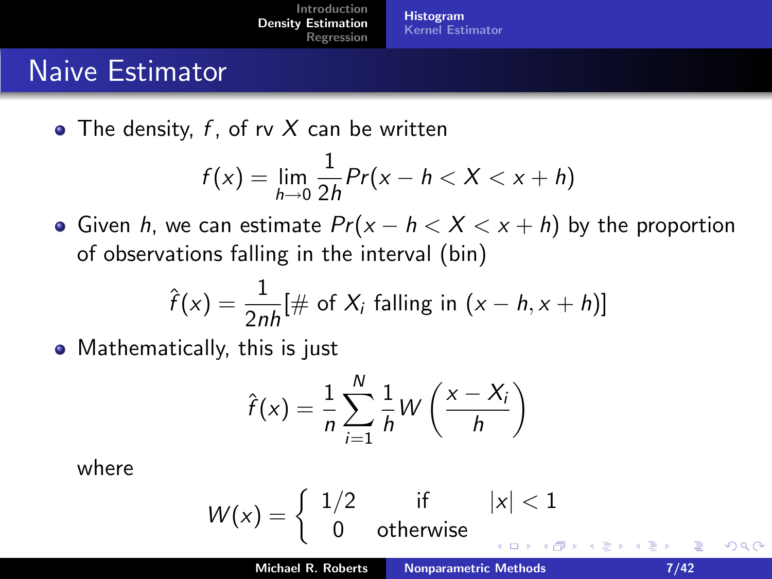[Histogram](#page-2-0) [Kernel Estimator](#page-10-0)

#### Naive Estimator

 $\bullet$  The density, f, of ry X can be written

$$
f(x)=\lim_{h\to 0}\frac{1}{2h}Pr(x-h
$$

• Given *h*, we can estimate  $Pr(x - h < X < x + h)$  by the proportion of observations falling in the interval (bin)

$$
\hat{f}(x) = \frac{1}{2nh} [\# \text{ of } X_i \text{ falling in } (x - h, x + h)]
$$

• Mathematically, this is just

$$
\hat{f}(x) = \frac{1}{n} \sum_{i=1}^{N} \frac{1}{h} W\left(\frac{x - X_i}{h}\right)
$$

where

$$
W(x) = \left\{ \begin{array}{ll} 1/2 & \text{if} & |x| < 1 \\ 0 & \text{otherwise} & \text{otherwise} \end{array} \right.
$$

 $2Q$ 

目す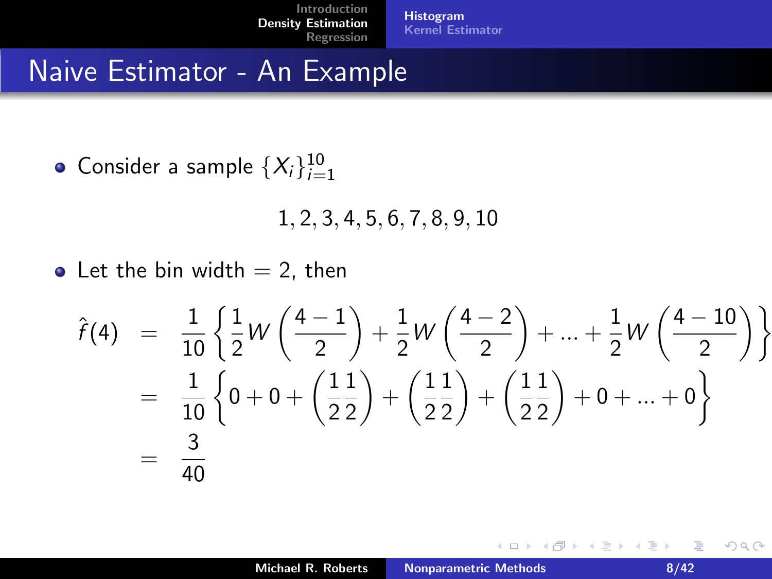#### Naive Estimator - An Example

Consider a sample  $\{X_i\}_{i=1}^{10}$ 

1, 2, 3, 4, 5, 6, 7, 8, 9, 10

• Let the bin width  $= 2$ , then

$$
\hat{f}(4) = \frac{1}{10} \left\{ \frac{1}{2} W \left( \frac{4-1}{2} \right) + \frac{1}{2} W \left( \frac{4-2}{2} \right) + \dots + \frac{1}{2} W \left( \frac{4-10}{2} \right) \right\}
$$
  
=  $\frac{1}{10} \left\{ 0 + 0 + \left( \frac{11}{2} \right) + \left( \frac{11}{2} \right) + \left( \frac{11}{2} \right) + 0 + \dots + 0 \right\}$   
=  $\frac{3}{40}$ 

**←ロ ▶ → 伊 ▶** 

 $2Q$ 

国 重 下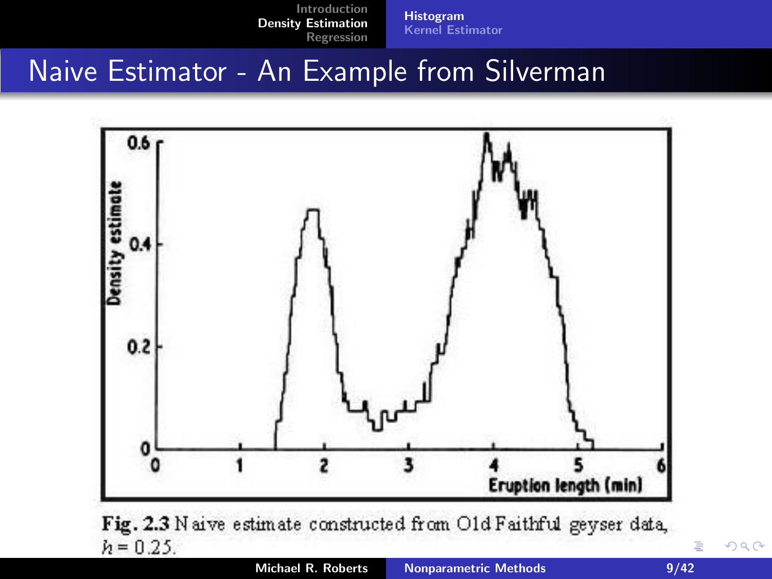[Histogram](#page-2-0) [Kernel Estimator](#page-10-0)

#### Naive Estimator - An Example from Silverman

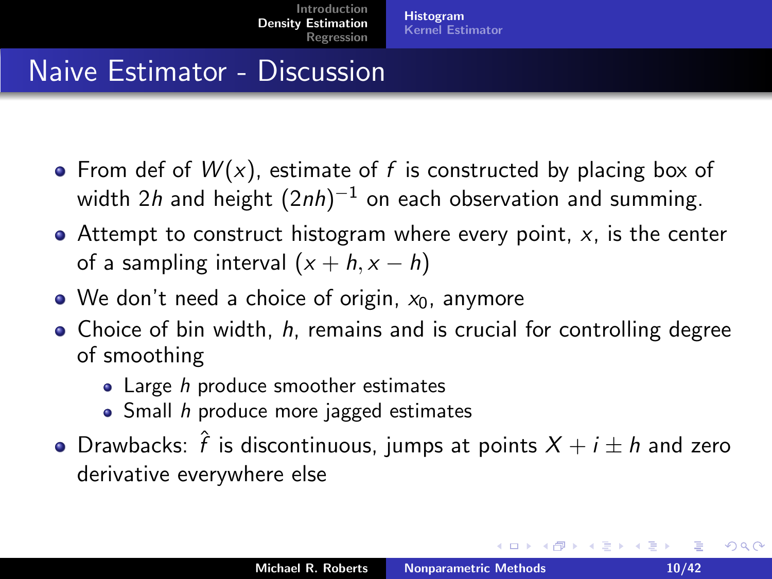#### Naive Estimator - Discussion

- From def of  $W(x)$ , estimate of f is constructed by placing box of width  $2\,$  and height  $(2\, n) ^{-1}$  on each observation and summing.
- $\bullet$  Attempt to construct histogram where every point, x, is the center of a sampling interval  $(x + h, x - h)$
- $\bullet$  We don't need a choice of origin,  $x_0$ , anymore
- $\bullet$  Choice of bin width,  $h$ , remains and is crucial for controlling degree of smoothing
	- Large h produce smoother estimates
	- $\bullet$  Small h produce more jagged estimates
- Drawbacks:  $\hat{f}$  is discontinuous, jumps at points  $X+i\pm h$  and zero derivative everywhere else

 $2Q$ 

イロン イ団ン イミン イミン 一番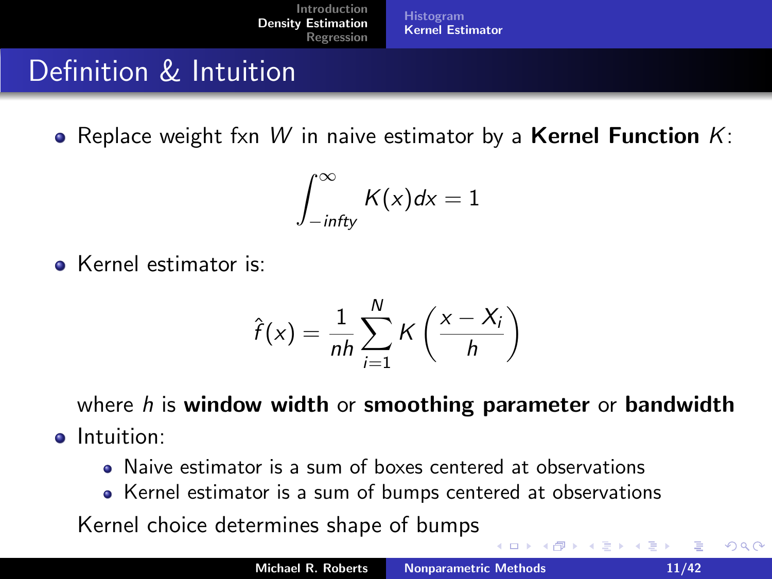#### Definition & Intuition

• Replace weight fxn W in naive estimator by a **Kernel Function**  $K$ :

$$
\int_{-infty}^{\infty} K(x)dx = 1
$$

Kernel estimator is:

$$
\hat{f}(x) = \frac{1}{nh} \sum_{i=1}^{N} K\left(\frac{x - X_i}{h}\right)
$$

where  $h$  is window width or smoothing parameter or bandwidth **o** Intuition:

- Naive estimator is a sum of boxes centered at observations
- Kernel estimator is a sum of bumps centered at observations

Kernel choice determines shape of bumps

<span id="page-10-0"></span> $\leftarrow$   $\cap$   $\rightarrow$   $\leftarrow$   $\oplus$   $\rightarrow$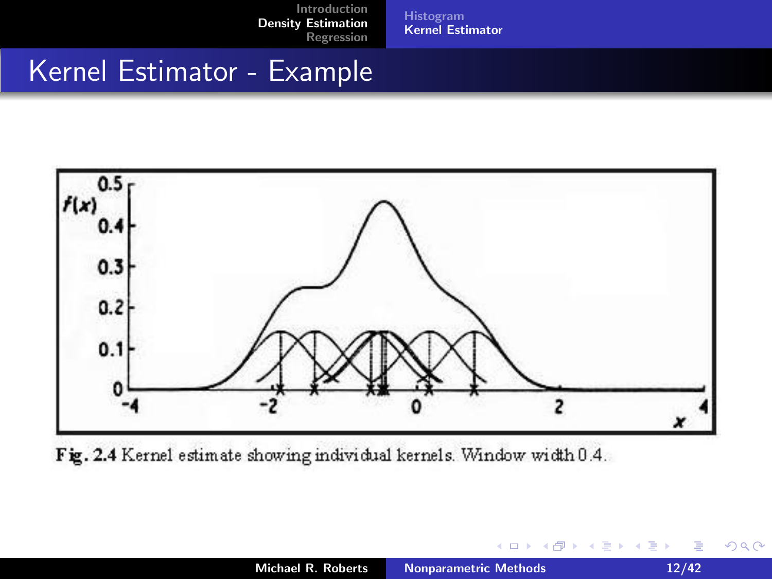[Histogram](#page-2-0) [Kernel Estimator](#page-10-0)

#### Kernel Estimator - Example



Fig. 2.4 Kernel estimate showing individual kernels. Window width 0.4.

 $\leftarrow$   $\Box$ → 伊 ▶  $299$ 

ス 重っ

 $\leftarrow$   $\equiv$  $\sim$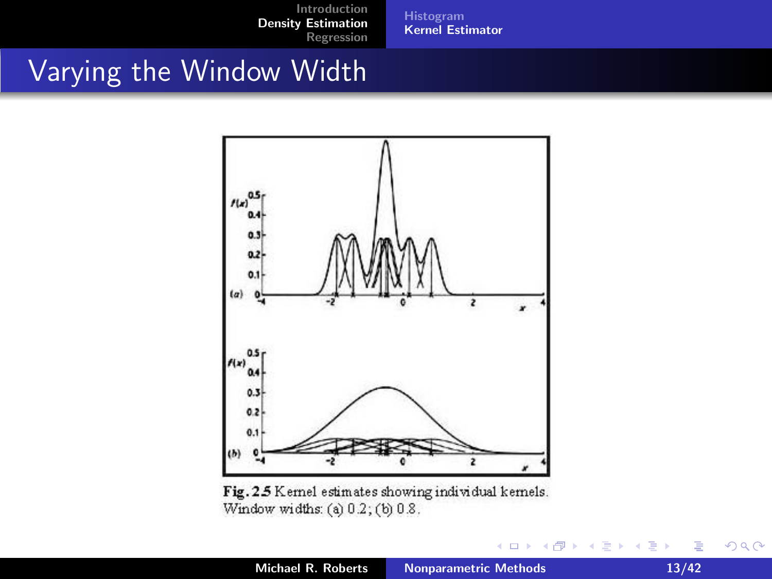[Histogram](#page-2-0) [Kernel Estimator](#page-10-0)

#### Varying the Window Width



Fig. 2.5 Kernel estimates showing individual kernels. Window widths: (a) 0.2; (b) 0.8.

 $\leftarrow$   $\Box$ 

→ 伊 ▶

 $\leftarrow$   $\equiv$  $\sim$  3 동 >

重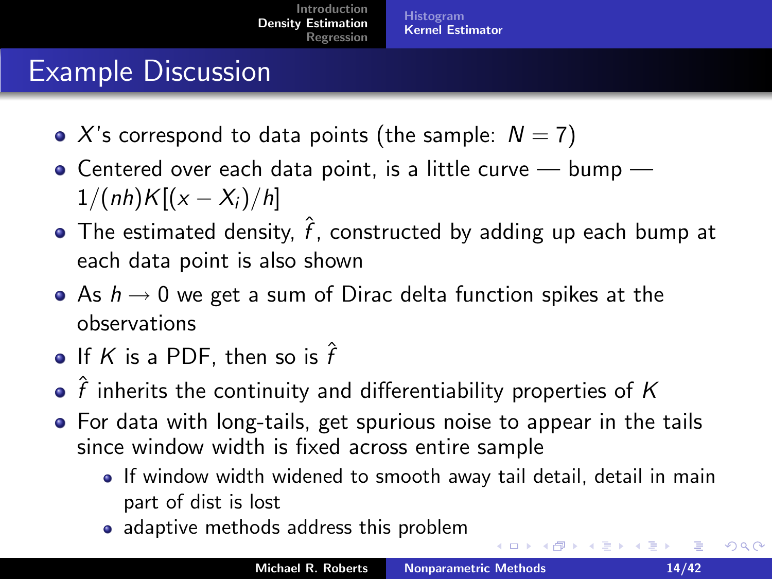#### Example Discussion

- X's correspond to data points (the sample:  $N = 7$ )
- $\bullet$  Centered over each data point, is a little curve  $-$  bump  $1/(nh)K[(x - X_i)/h]$
- The estimated density,  $\hat{f}$ , constructed by adding up each bump at each data point is also shown
- As  $h \rightarrow 0$  we get a sum of Dirac delta function spikes at the observations
- If  $K$  is a PDF, then so is  $\hat{f}$
- $\hat{f}$  inherits the continuity and differentiability properties of K
- For data with long-tails, get spurious noise to appear in the tails since window width is fixed across entire sample
	- If window width widened to smooth away tail detail, detail in main part of dist is lost
	- adaptive methods address this problem

 $2Q$ 

K ロ ▶ K 御 ▶ K 君 ▶ K 君 ▶ ...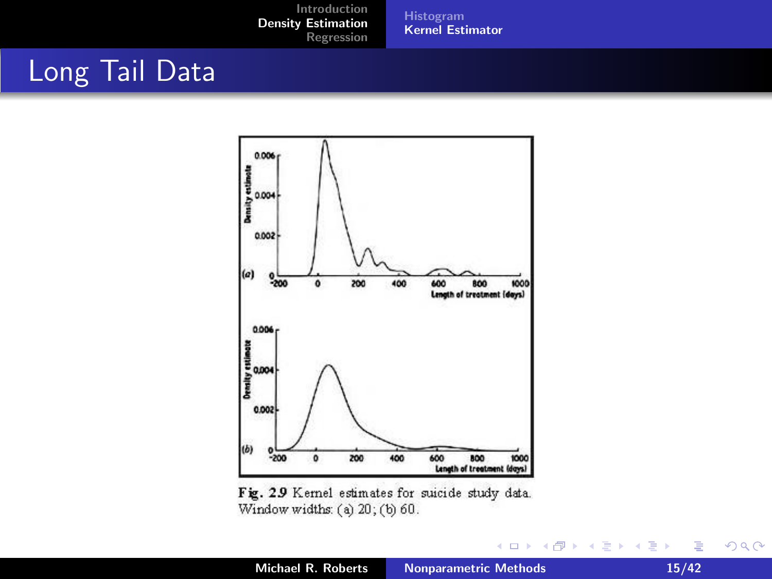[Histogram](#page-2-0) [Kernel Estimator](#page-10-0)

#### Long Tail Data



Fig. 2.9 Kernel estimates for suicide study data. Window widths: (a) 20; (b) 60.

 $299$ 

K ロ ▶ K 御 ▶ K 君 ▶ K 君 ▶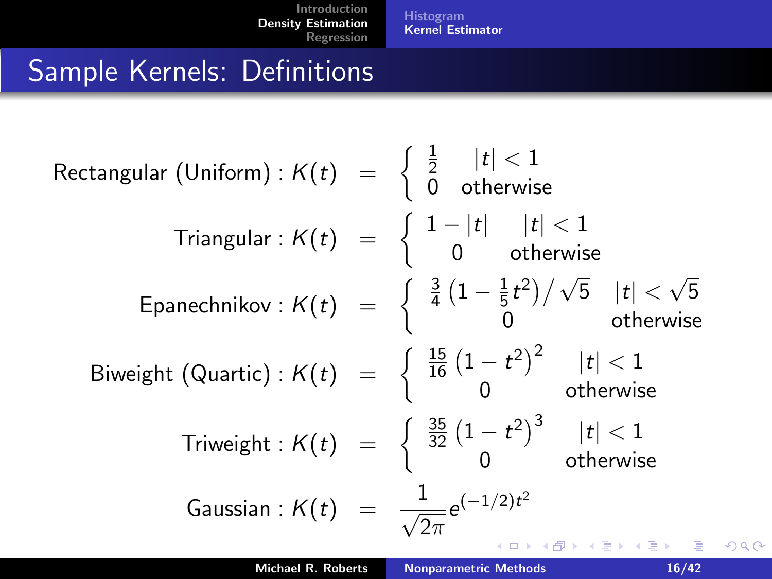[Histogram](#page-2-0) [Kernel Estimator](#page-10-0)

 $2980$ 

#### Sample Kernels: Definitions

| Rectangular (Uniform): $K(t) = \begin{cases} \frac{1}{2} &  t  < 1 \\ 0 & \text{otherwise} \end{cases}$                                          |                       |       |
|--------------------------------------------------------------------------------------------------------------------------------------------------|-----------------------|-------|
| Triangular: $K(t) = \begin{cases} 1 -  t  &  t  < 1 \\ 0 & \text{otherwise} \end{cases}$                                                         |                       |       |
| Spanechnikov: $K(t) = \begin{cases} \frac{3}{4} \left(1 - \frac{1}{5}t^2\right) / \sqrt{5} &  t  < \sqrt{5} \\ 0 & \text{otherwise} \end{cases}$ |                       |       |
| Biweight (Quartic): $K(t) = \begin{cases} \frac{15}{16} \left(1 - t^2\right)^2 &  t  < 1 \\ 0 & \text{otherwise} \end{cases}$                    |                       |       |
| Triveight: $K(t) = \begin{cases} \frac{35}{32} \left(1 - t^2\right)^3 &  t  < 1 \\ 0 & \text{otherwise} \end{cases}$                             |                       |       |
| Gaussian: $K(t) = \frac{1}{\sqrt{2\pi}} e^{(-1/2)t^2}$                                                                                           |                       |       |
| Michael R. Roberts                                                                                                                               | Nonparametric Methods | 16/42 |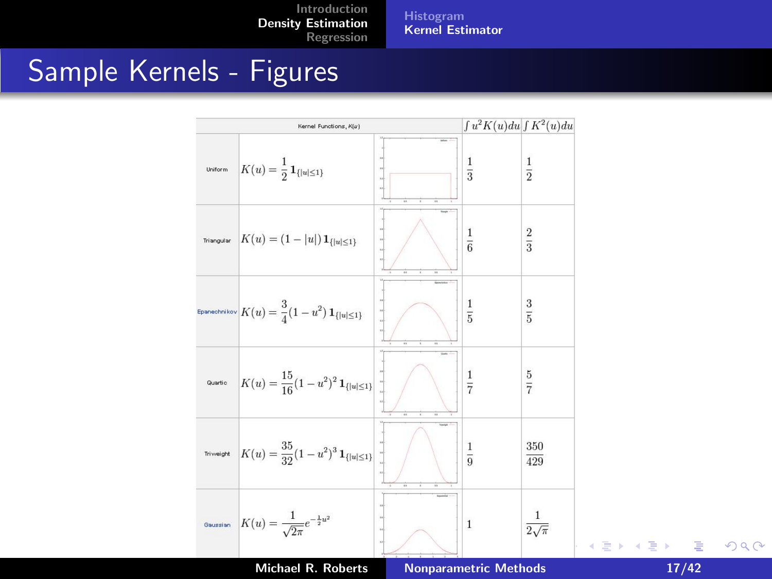[Histogram](#page-2-0) [Kernel Estimator](#page-10-0)

#### Sample Kernels - Figures



 $\equiv$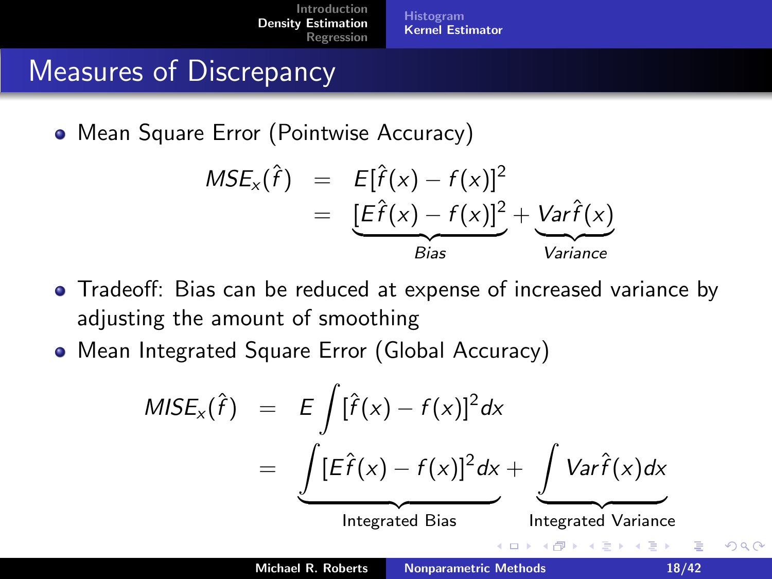[Histogram](#page-2-0) [Kernel Estimator](#page-10-0)

#### Measures of Discrepancy

• Mean Square Error (Pointwise Accuracy)

$$
MSE_x(\hat{f}) = E[\hat{f}(x) - f(x)]^2
$$
  
= 
$$
\underbrace{[E\hat{f}(x) - f(x)]^2}_{Bias} + \underbrace{Var\hat{f}(x)}_{Variance}
$$

- Tradeoff: Bias can be reduced at expense of increased variance by adjusting the amount of smoothing
- Mean Integrated Square Error (Global Accuracy)

$$
MISE_x(\hat{f}) = E \int [\hat{f}(x) - f(x)]^2 dx
$$
  
= 
$$
\underbrace{\int [E\hat{f}(x) - f(x)]^2 dx}_{\text{Integrated Bias}} + \underbrace{\int Var\hat{f}(x)dx}_{\text{Integrated Variance}}
$$
  
  
Michael R. Roberts  
Nonparametric Methods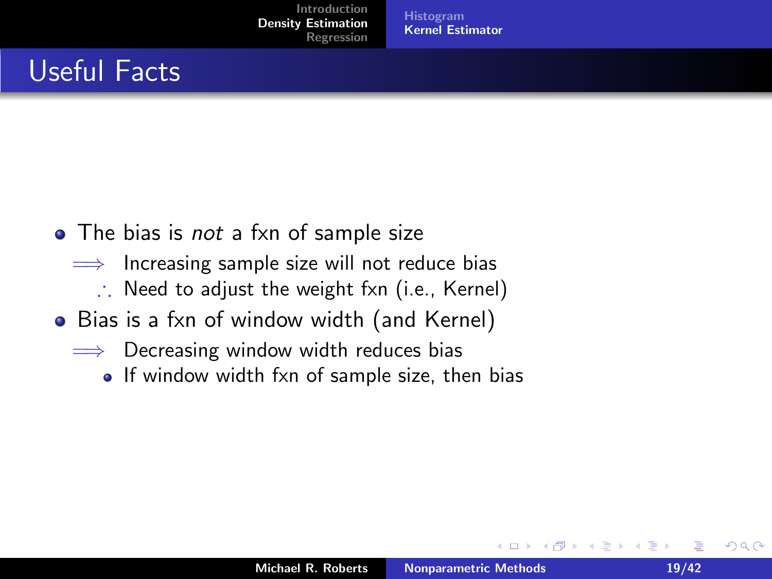[Histogram](#page-2-0) [Kernel Estimator](#page-10-0)

#### Useful Facts

- The bias is *not* a fxn of sample size
	- $\implies$  Increasing sample size will not reduce bias
		- ∴ Need to adjust the weight fxn (i.e., Kernel)
- Bias is a fxn of window width (and Kernel)
	- $\implies$  Decreasing window width reduces bias
		- If window width fxn of sample size, then bias

 $4.17 \times$  $\leftarrow$   $\leftarrow$  ∢ 重 ≯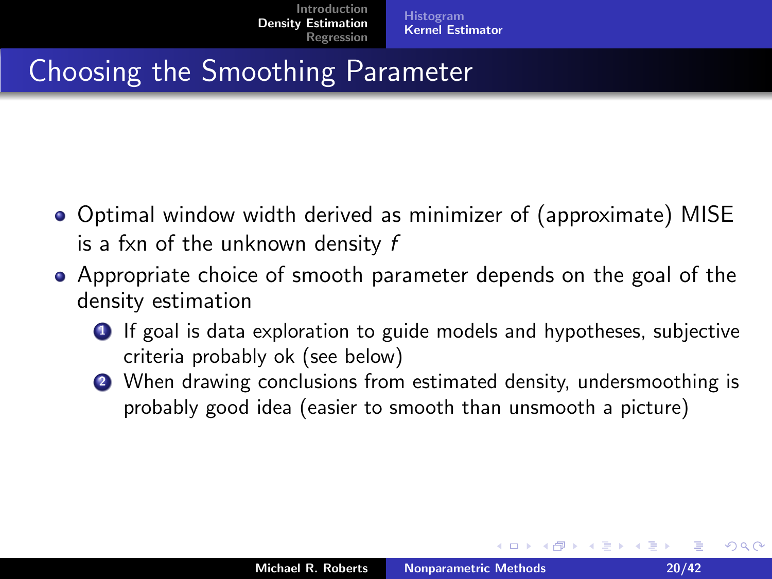#### Choosing the Smoothing Parameter

- Optimal window width derived as minimizer of (approximate) MISE is a fxn of the unknown density f
- Appropriate choice of smooth parameter depends on the goal of the density estimation
	- **1** If goal is data exploration to guide models and hypotheses, subjective criteria probably ok (see below)
	- 2 When drawing conclusions from estimated density, undersmoothing is probably good idea (easier to smooth than unsmooth a picture)

 $2Q$ 

イロメ イ部メ イヨメ イヨメー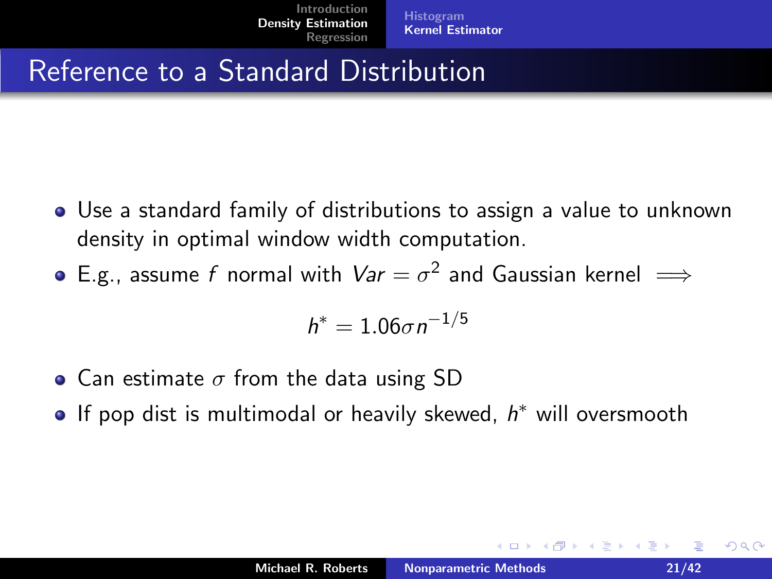#### Reference to a Standard Distribution

- Use a standard family of distributions to assign a value to unknown density in optimal window width computation.
- E.g., assume  $f$  normal with  $\mathit{Var} = \sigma^2$  and Gaussian kernel  $\implies$

$$
h^*=1.06\sigma n^{-1/5}
$$

- Can estimate  $\sigma$  from the data using SD
- If pop dist is multimodal or heavily skewed,  $h^*$  will oversmooth

∢ 重 ≯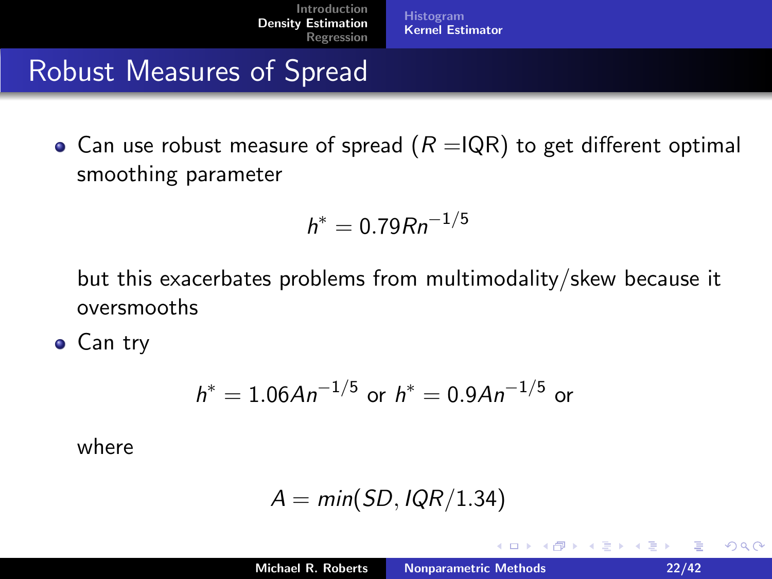[Histogram](#page-2-0) [Kernel Estimator](#page-10-0)

#### Robust Measures of Spread

• Can use robust measure of spread  $(R = IQR)$  to get different optimal smoothing parameter

$$
h^* = 0.79Rn^{-1/5}
$$

but this exacerbates problems from multimodality/skew because it oversmooths

**•** Can try

$$
h^* = 1.06An^{-1/5}
$$
 or  $h^* = 0.9An^{-1/5}$  or

where

$$
A = \textit{min}(\textit{SD}, \textit{IQR}/1.34)
$$

 $4.17 \times$  $\leftarrow$   $\leftarrow$  ∢ 重 ≯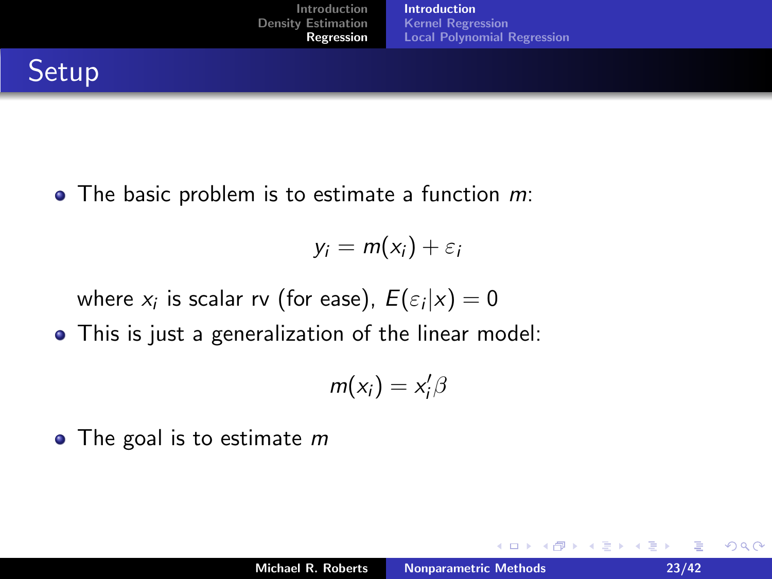$\bullet$  The basic problem is to estimate a function  $m$ .

$$
y_i = m(x_i) + \varepsilon_i
$$

where  $x_i$  is scalar rv (for ease),  $E(\varepsilon_i | x) = 0$ 

This is just a generalization of the linear model:

$$
m(x_i)=x'_i\beta
$$

 $\bullet$  The goal is to estimate m

a mills.

 $\leftarrow$   $\leftarrow$   $\leftarrow$   $\leftarrow$ 

<span id="page-22-0"></span> $2Q$ 

重す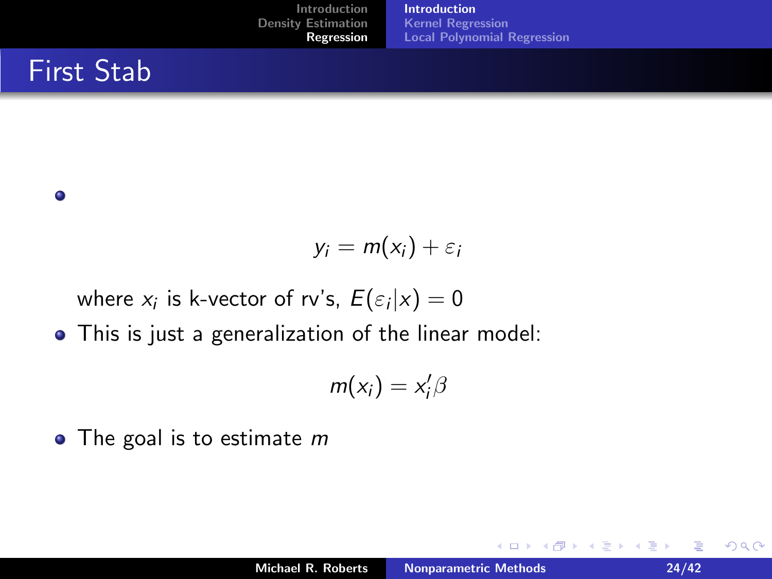#### First Stab

#### $\bullet$

$$
y_i = m(x_i) + \varepsilon_i
$$

where  $x_i$  is k-vector of rv's,  $E(\varepsilon_i|x)=0$ 

This is just a generalization of the linear model:

$$
m(x_i)=x'_i\beta
$$

 $\bullet$  The goal is to estimate m

**←ロ ▶ → 伊 ▶** 

 $2Q$ 

∢ 重う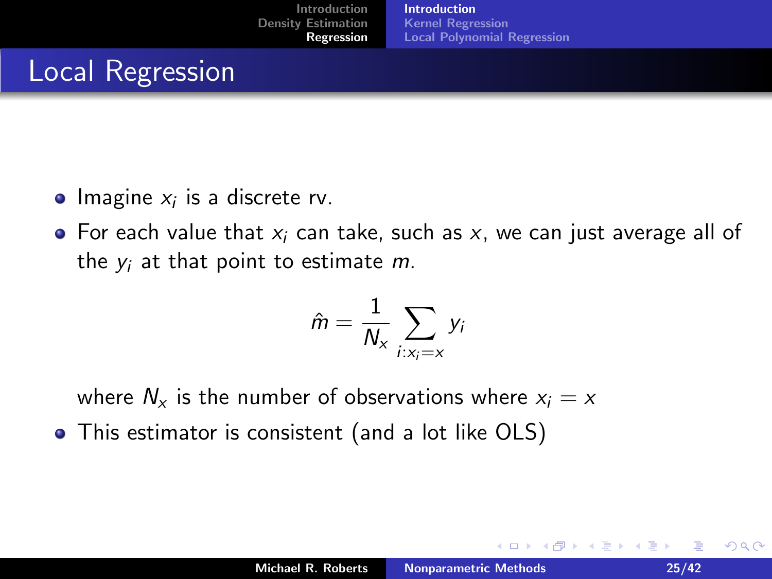#### Local Regression

- Imagine  $x_i$  is a discrete rv.
- $\bullet$  For each value that  $x_i$  can take, such as x, we can just average all of the  $y_i$  at that point to estimate  $m$ .

$$
\hat{m} = \frac{1}{N_x} \sum_{i: x_i = x} y_i
$$

where  $N_x$  is the number of observations where  $x_i = x$ 

This estimator is consistent (and a lot like OLS)

 $\leftarrow$   $\cap$   $\rightarrow$   $\leftarrow$   $\cap$   $\rightarrow$ 

K 로 )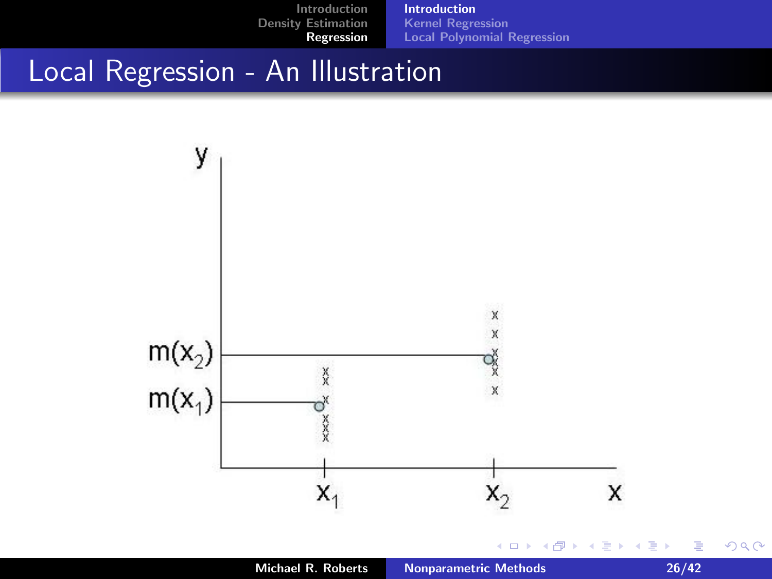

Michael R. Roberts [Nonparametric Methods 26/42](#page-0-0)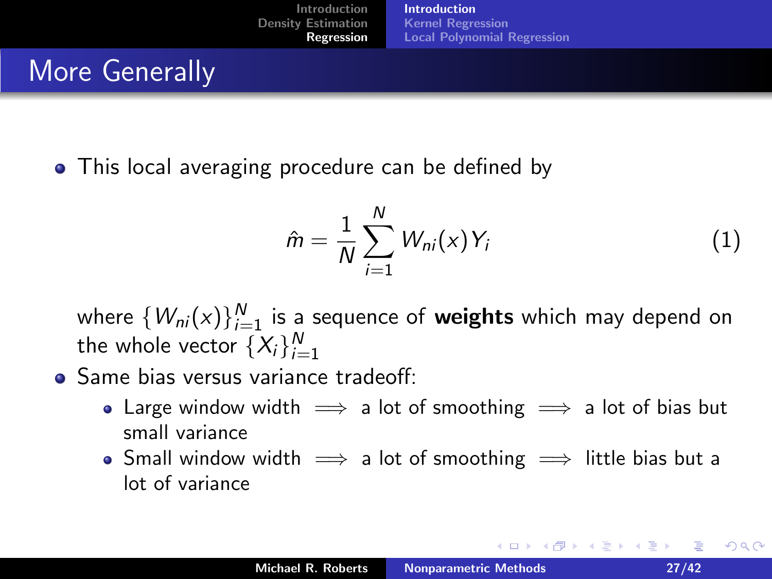#### More Generally

• This local averaging procedure can be defined by

<span id="page-26-0"></span>
$$
\hat{m} = \frac{1}{N} \sum_{i=1}^{N} W_{ni}(x) Y_i \tag{1}
$$

 $\leftarrow$   $\Box$   $\rightarrow$   $\leftarrow$   $\Box$   $\rightarrow$ 

where  $\{W_{ni}(x)\}_{i=1}^N$  is a sequence of **weights** which may depend on the whole vector  $\{X_i\}_{i=1}^N$ 

- **Same bias versus variance tradeoff:** 
	- Large window width  $\implies$  a lot of smoothing  $\implies$  a lot of bias but small variance
	- Small window width  $\implies$  a lot of smoothing  $\implies$  little bias but a lot of variance

 $2Q$ 

- K 로 K - 로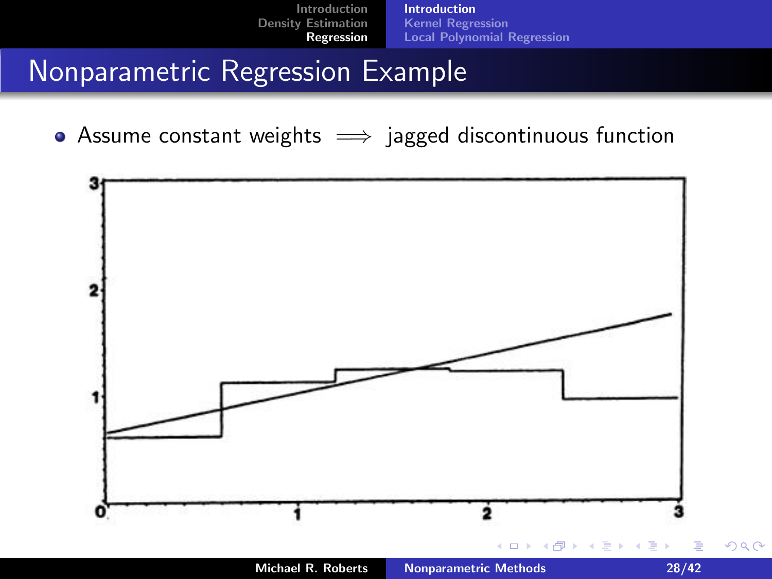<span id="page-27-0"></span>

#### Nonparametric Regression Example

• Assume constant weights  $\implies$  jagged discontinuous function

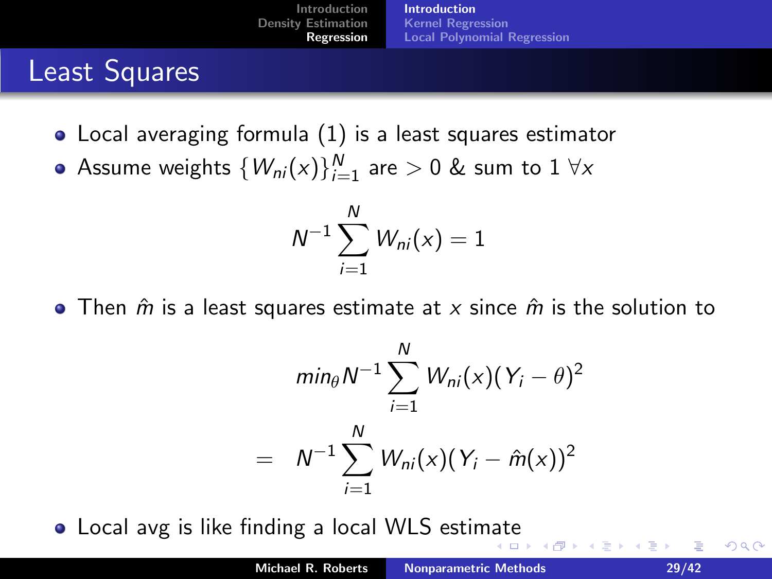#### Least Squares

- Local averaging formula [\(1\)](#page-26-0) is a least squares estimator
- Assume weights  $\{W_{\textit{ni}}(\mathsf{x})\}_{i=1}^{N}$  are  $>0$  & sum to  $1\;\forall\mathsf{x}$

$$
N^{-1}\sum_{i=1}^N W_{ni}(x)=1
$$

• Then  $\hat{m}$  is a least squares estimate at x since  $\hat{m}$  is the solution to

$$
min_{\theta} N^{-1} \sum_{i=1}^{N} W_{ni}(x) (Y_i - \theta)^2
$$
  
=  $N^{-1} \sum_{i=1}^{N} W_{ni}(x) (Y_i - \hat{m}(x))^2$ 

 $\overline{a}$ 

Local avg is like finding a local WLS estim[at](#page-27-0)e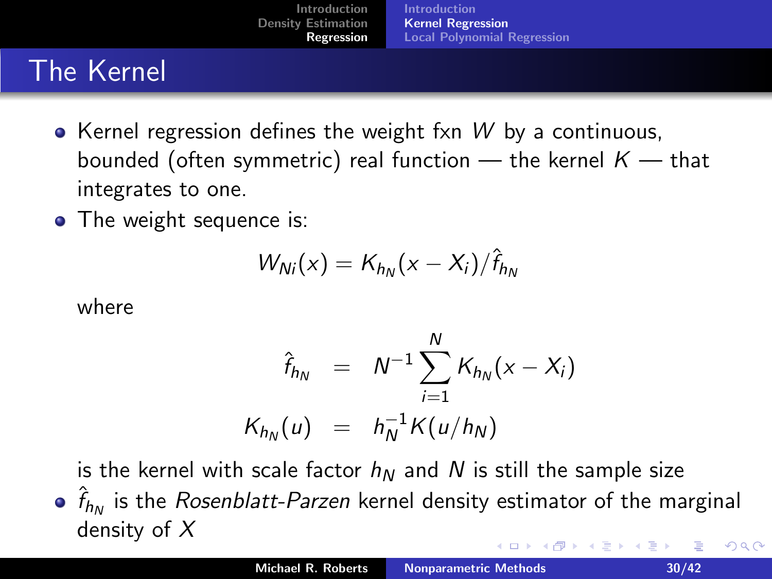## The Kernel

- $\bullet$  Kernel regression defines the weight fxn W by a continuous, bounded (often symmetric) real function — the kernel  $K$  — that integrates to one.
- The weight sequence is:

$$
W_{Ni}(x) = K_{h_N}(x - X_i)/\hat{f}_{h_N}
$$

where

<span id="page-29-0"></span>
$$
\hat{f}_{h_N} = N^{-1} \sum_{i=1}^N K_{h_N}(x - X_i)
$$

$$
K_{h_N}(u) = h_N^{-1} K(u/h_N)
$$

is the kernel with scale factor  $h_N$  and N is still the sample size

 $\hat{f}_{h_N}$  is the *Rosenblatt-Parzen* kernel density estimator of the marginal density of X  $2Q$  $\leftarrow$   $\cap$   $\rightarrow$   $\leftarrow$   $\cap$   $\rightarrow$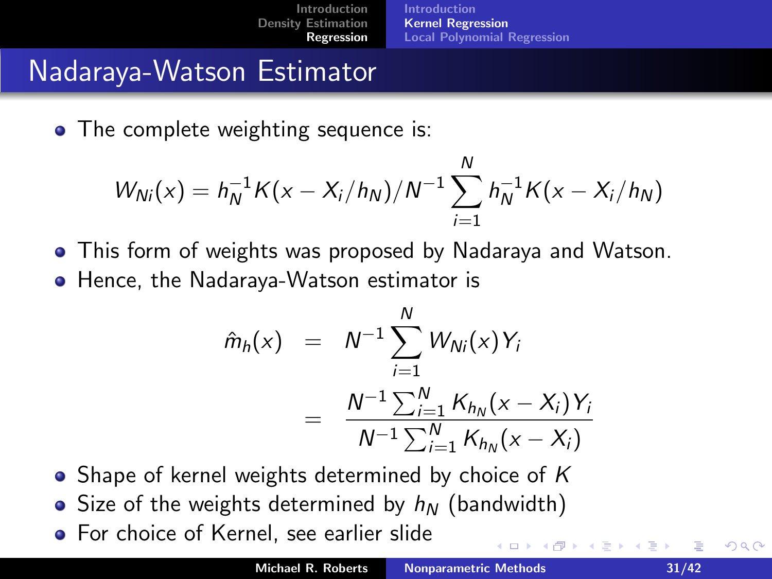#### Nadaraya-Watson Estimator

• The complete weighting sequence is:

$$
W_{Ni}(x) = h_N^{-1}K(x - X_i/h_N)/N^{-1}\sum_{i=1}^N h_N^{-1}K(x - X_i/h_N)
$$

- This form of weights was proposed by Nadaraya and Watson.
- **•** Hence, the Nadaraya-Watson estimator is

$$
\hat{m}_h(x) = N^{-1} \sum_{i=1}^N W_{Ni}(x) Y_i
$$

$$
= \frac{N^{-1} \sum_{i=1}^N K_{h_N}(x - X_i) Y_i}{N^{-1} \sum_{i=1}^N K_{h_N}(x - X_i)}
$$

- Shape of kernel weights determined by choice of  $K$
- Size of the weights determined by  $h_N$  (bandwidth)
- **•** For choice of Kernel, see earlier slide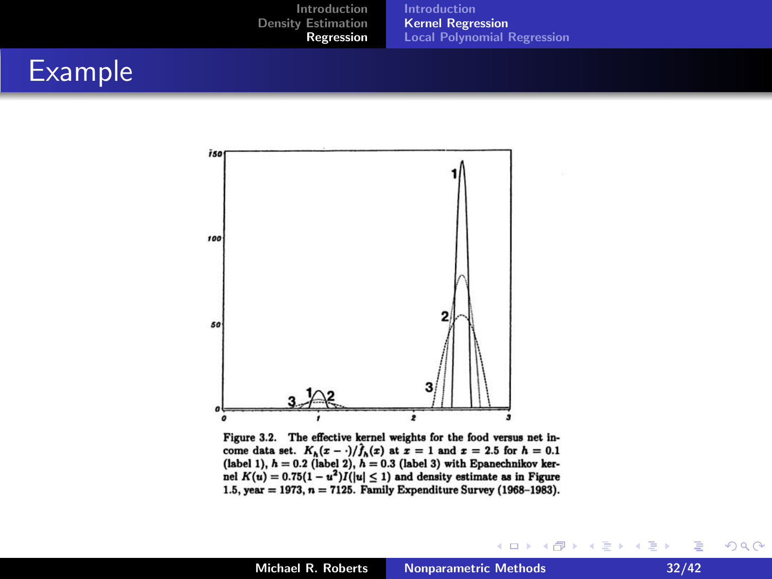#### Example



Figure 3.2. The effective kernel weights for the food versus net income data set.  $K_h(x-\cdot)/\hat{f}_h(x)$  at  $x=1$  and  $x=2.5$  for  $h=0.1$ (label 1),  $h = 0.2$  (label 2),  $h = 0.3$  (label 3) with Epanechnikov kernel  $K(u) = 0.75(1 - u^2)I(|u| \le 1)$  and density estimate as in Figure 1.5, year = 1973,  $n = 7125$ . Family Expenditure Survey (1968-1983).

 $2Q$ 

∢ 重→

 $\sim$ 

**K ロ ⊁ K 伊 ⊁ K 店**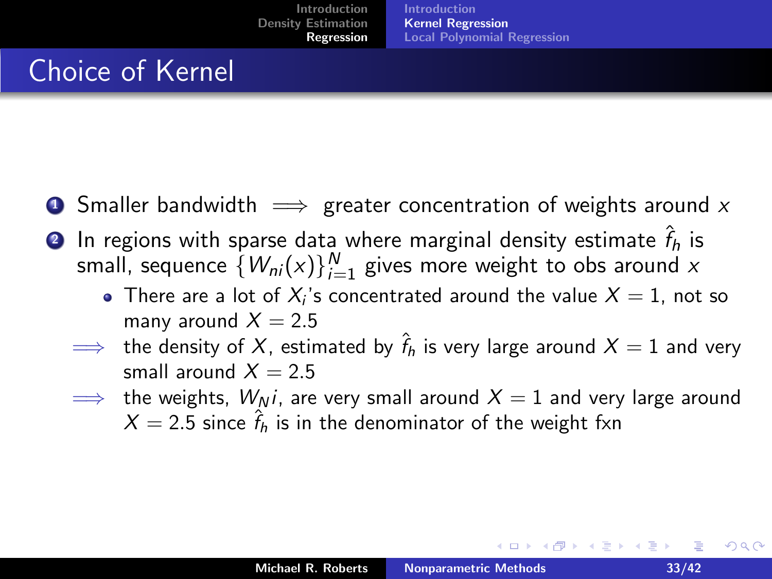#### Choice of Kernel

- **4** Smaller bandwidth  $\implies$  greater concentration of weights around x
- $\textbf{\textcolor{black}{\bullet}}$  In regions with sparse data where marginal density estimate  $\hat{f}_h$  is small, sequence  $\{W_{\textit{ni}}(\text{x})\}_{i=1}^{N}$  gives more weight to obs around  $\text{x}$ 
	- There are a lot of  $X_i$ 's concentrated around the value  $X=1$ , not so many around  $X = 2.5$
	- $\implies$  the density of  $X$ , estimated by  $\hat{f}_h$  is very large around  $X=1$  and very small around  $X = 2.5$
	- $\implies$  the weights,  $W_N i$ , are very small around  $X = 1$  and very large around  $X = 2.5$  since  $\hat{f}_h$  is in the denominator of the weight fxn

 $290$ 

- K 등 X - 1동

 $\leftarrow$   $\cap$   $\rightarrow$   $\leftarrow$   $\cap$   $\rightarrow$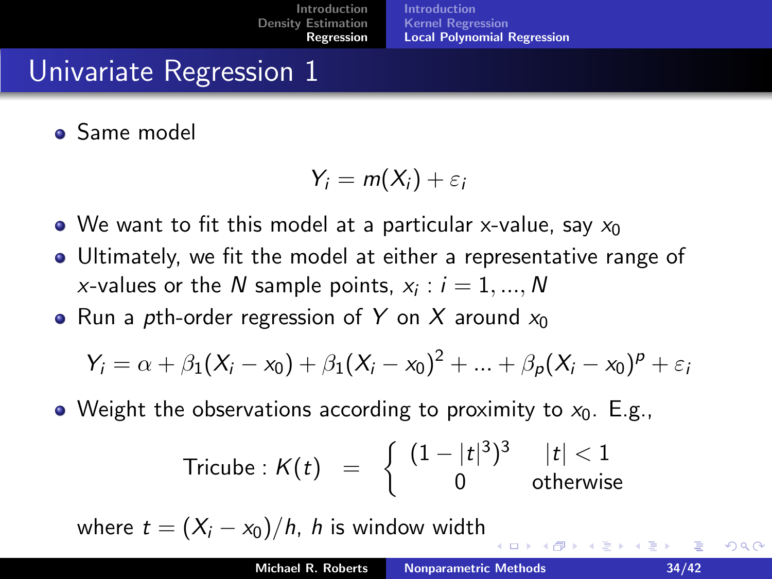#### Univariate Regression 1

Same model

$$
Y_i = m(X_i) + \varepsilon_i
$$

- $\bullet$  We want to fit this model at a particular x-value, say  $x_0$
- Ultimately, we fit the model at either a representative range of *x*-values or the  $N$  sample points,  $x_i : i = 1, ..., N$
- Run a pth-order regression of Y on X around  $x_0$

$$
Y_i = \alpha + \beta_1(X_i - x_0) + \beta_1(X_i - x_0)^2 + \dots + \beta_p(X_i - x_0)^p + \varepsilon_i
$$

• Weight the observations according to proximity to  $x_0$ . E.g.,

$$
\text{Tricube}: K(t) = \left\{ \begin{array}{ccl} (1-|t|^3)^3 & |t| < 1 \\ 0 & \text{otherwise} \end{array} \right.
$$

where  $t = (X_i - x_0)/h$ , h is window width

<span id="page-33-0"></span>**K ロ ▶ K 伊 ▶**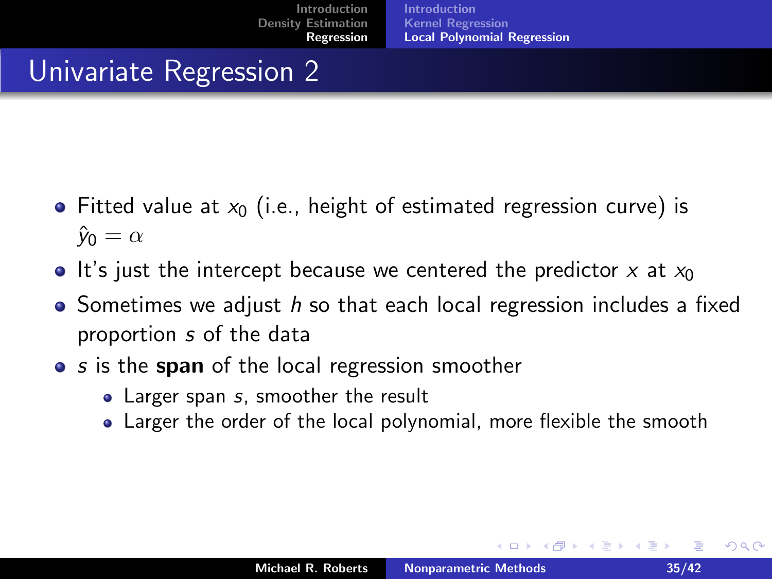#### Univariate Regression 2

- Fitted value at  $x_0$  (i.e., height of estimated regression curve) is  $\hat{y}_0 = \alpha$
- It's just the intercept because we centered the predictor x at  $x_0$
- $\bullet$  Sometimes we adjust h so that each local regression includes a fixed proportion s of the data
- s is the span of the local regression smoother
	- Larger span s, smoother the result
	- Larger the order of the local polynomial, more flexible the smooth

 $\leftarrow$   $\cap$   $\rightarrow$   $\leftarrow$   $\cap$   $\rightarrow$ 

∢ 重 ≯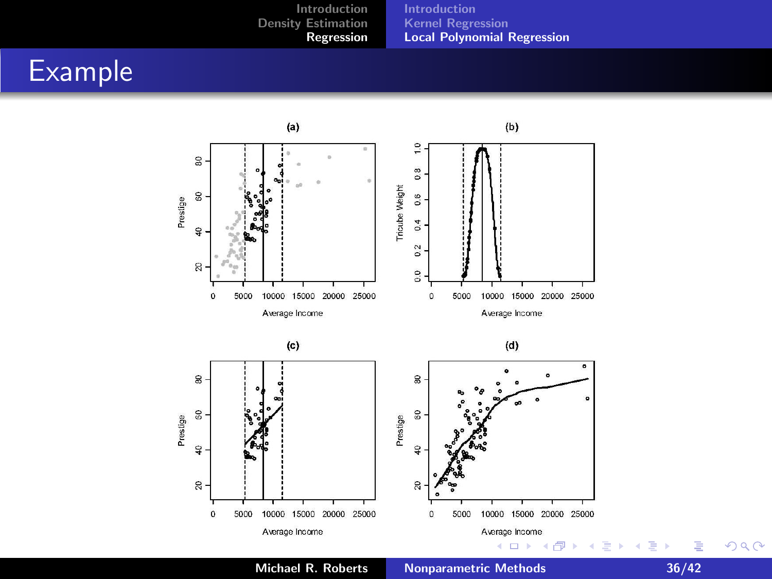#### Example



Michael R. Roberts [Nonparametric Methods 36/42](#page-0-0)

È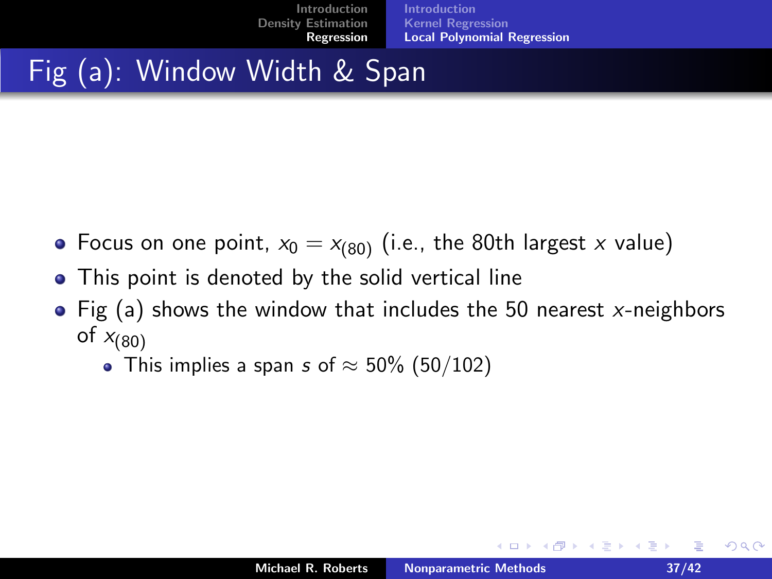## Fig (a): Window Width & Span

- Focus on one point,  $x_0 = x_{(80)}$  (i.e., the 80th largest x value)
- This point is denoted by the solid vertical line  $\bullet$
- Fig (a) shows the window that includes the 50 nearest  $x$ -neighbors of  $x_{(80)}$ 
	- This implies a span s of  $\approx$  50% (50/102)

**K ロ ▶ K 倒 ▶** 

- 4 店 ト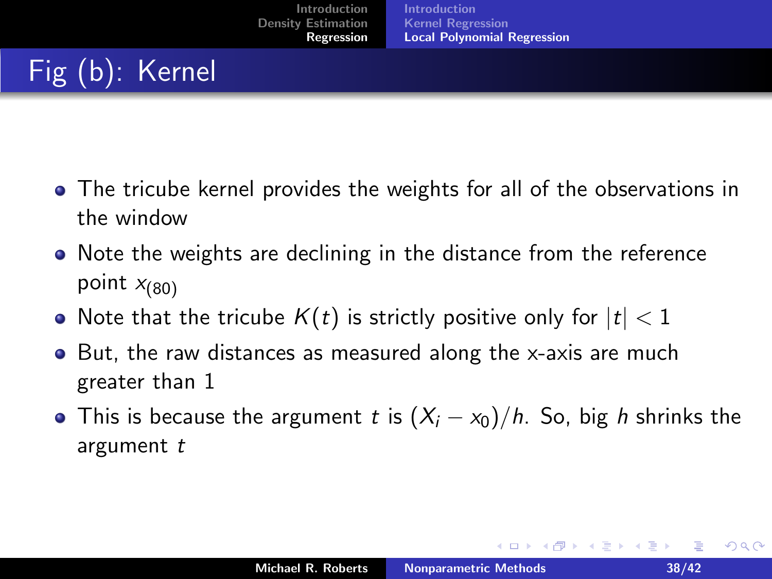# Fig (b): Kernel

- The tricube kernel provides the weights for all of the observations in the window
- Note the weights are declining in the distance from the reference point  $x_{(80)}$
- Note that the tricube  $K(t)$  is strictly positive only for  $|t| < 1$
- But, the raw distances as measured along the x-axis are much greater than 1
- This is because the argument t is  $(X_i x_0)/h$ . So, big h shrinks the argument t

 $2Q$ 

イロン イ団ン イミン イミン 一番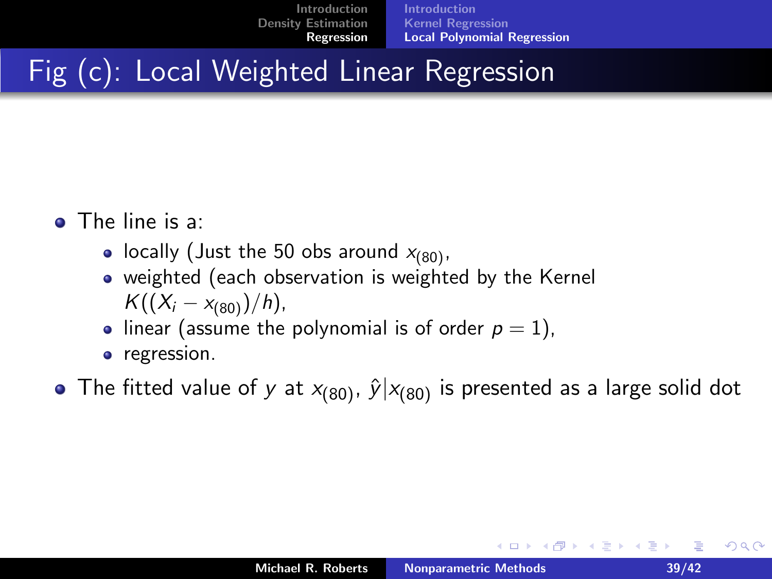## Fig (c): Local Weighted Linear Regression

- The line is a:
	- locally (Just the 50 obs around  $x_{(80)}$ ,
	- weighted (each observation is weighted by the Kernel  $K((X_i - x_{(80)})/h)$ ,
	- linear (assume the polynomial is of order  $p = 1$ ),
	- **•** regression.
- The fitted value of y at  $x_{(80)}$ ,  $\hat{y}|x_{(80)}$  is presented as a large solid dot

 $2Q$ 

メロメ メ御き メミメ メミメー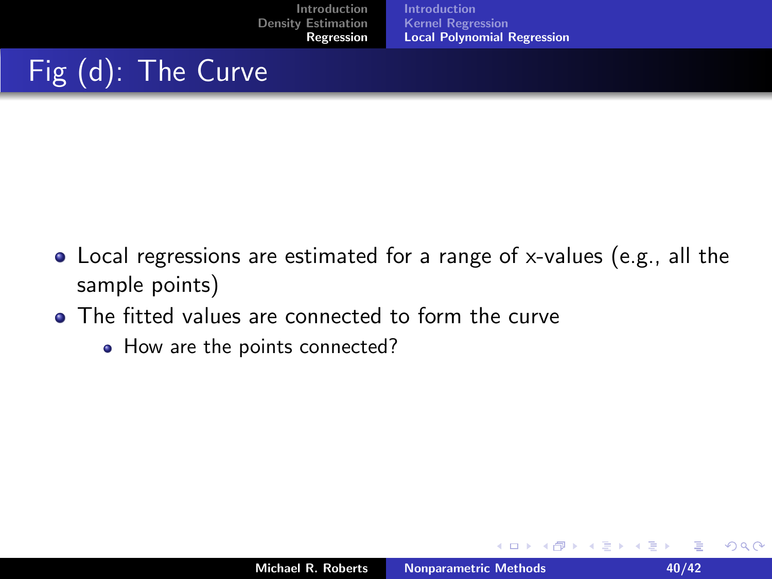## Fig (d): The Curve

- Local regressions are estimated for a range of x-values (e.g., all the sample points)
- The fitted values are connected to form the curve
	- How are the points connected?

K ロ ▶ K 倒 ▶

∢ 重 ≯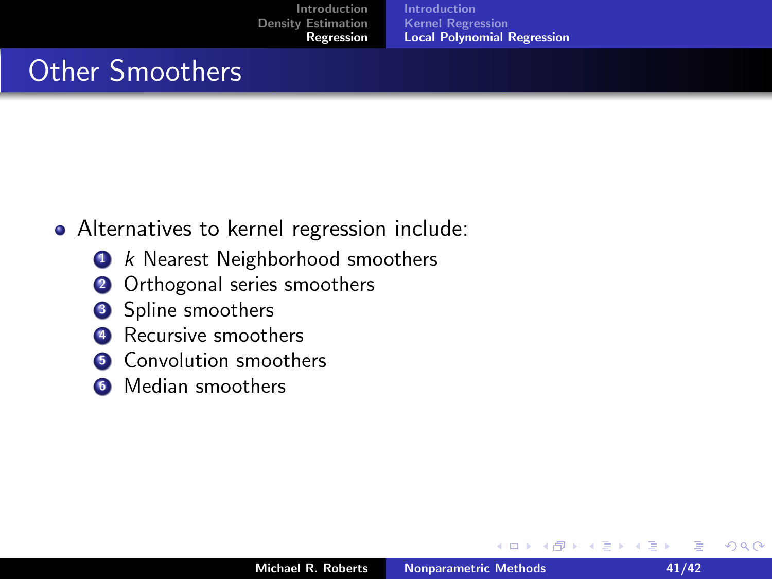#### Other Smoothers

- Alternatives to kernel regression include:
	- **1** k Nearest Neighborhood smoothers
	- **2** Orthogonal series smoothers
	- **3** Spline smoothers
	- Recursive smoothers
	- **6** Convolution smoothers
	- **6** Median smoothers

 $\leftarrow$   $\Box$ 

→ 伊 ▶

∢ 重 ≯